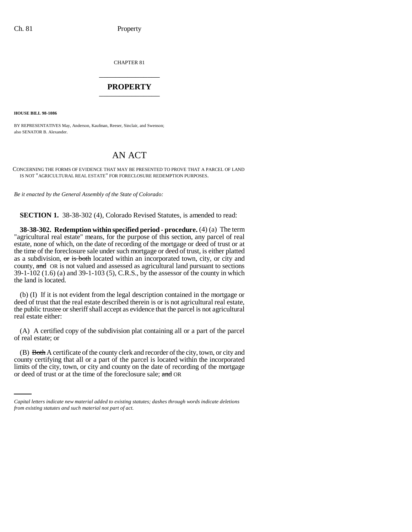CHAPTER 81 \_\_\_\_\_\_\_\_\_\_\_\_\_\_\_

## **PROPERTY** \_\_\_\_\_\_\_\_\_\_\_\_\_\_\_

**HOUSE BILL 98-1086**

BY REPRESENTATIVES May, Anderson, Kaufman, Reeser, Sinclair, and Swenson; also SENATOR B. Alexander.

## AN ACT

CONCERNING THE FORMS OF EVIDENCE THAT MAY BE PRESENTED TO PROVE THAT A PARCEL OF LAND IS NOT "AGRICULTURAL REAL ESTATE" FOR FORECLOSURE REDEMPTION PURPOSES.

*Be it enacted by the General Assembly of the State of Colorado:*

**SECTION 1.** 38-38-302 (4), Colorado Revised Statutes, is amended to read:

**38-38-302. Redemption within specified period - procedure.** (4) (a) The term "agricultural real estate" means, for the purpose of this section, any parcel of real estate, none of which, on the date of recording of the mortgage or deed of trust or at the time of the foreclosure sale under such mortgage or deed of trust, is either platted as a subdivision,  $\sigma$  is both located within an incorporated town, city, or city and county, and OR is not valued and assessed as agricultural land pursuant to sections 39-1-102 (1.6) (a) and 39-1-103 (5), C.R.S., by the assessor of the county in which the land is located.

(b) (I) If it is not evident from the legal description contained in the mortgage or deed of trust that the real estate described therein is or is not agricultural real estate, the public trustee or sheriff shall accept as evidence that the parcel is not agricultural real estate either:

(A) A certified copy of the subdivision plat containing all or a part of the parcel of real estate; or

county certifying that all or a part of the parcel is located within the incorporated (B) Both A certificate of the county clerk and recorder of the city, town, or city and limits of the city, town, or city and county on the date of recording of the mortgage or deed of trust or at the time of the foreclosure sale; and OR

*Capital letters indicate new material added to existing statutes; dashes through words indicate deletions from existing statutes and such material not part of act.*